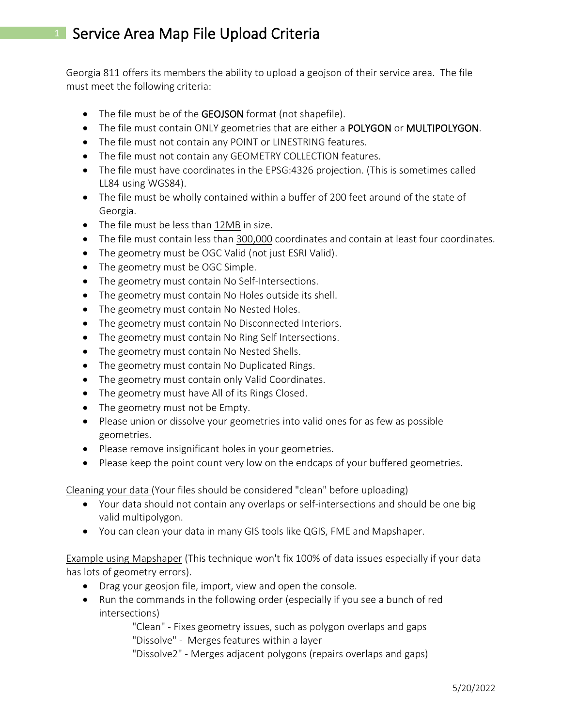## <sup>1</sup> Service Area Map File Upload Criteria

Georgia 811 offers its members the ability to upload a geojson of their service area. The file must meet the following criteria:

- The file must be of the GEOJSON format (not shapefile).
- The file must contain ONLY geometries that are either a POLYGON or MULTIPOLYGON.
- The file must not contain any POINT or LINESTRING features.
- The file must not contain any GEOMETRY COLLECTION features.
- The file must have coordinates in the EPSG:4326 projection. (This is sometimes called LL84 using WGS84).
- The file must be wholly contained within a buffer of 200 feet around of the state of Georgia.
- The file must be less than 12MB in size.
- The file must contain less than 300,000 coordinates and contain at least four coordinates.
- The geometry must be OGC Valid (not just ESRI Valid).
- The geometry must be OGC Simple.
- The geometry must contain No Self-Intersections.
- The geometry must contain No Holes outside its shell.
- The geometry must contain No Nested Holes.
- The geometry must contain No Disconnected Interiors.
- The geometry must contain No Ring Self Intersections.
- The geometry must contain No Nested Shells.
- The geometry must contain No Duplicated Rings.
- The geometry must contain only Valid Coordinates.
- The geometry must have All of its Rings Closed.
- The geometry must not be Empty.
- Please union or dissolve your geometries into valid ones for as few as possible geometries.
- Please remove insignificant holes in your geometries.
- Please keep the point count very low on the endcaps of your buffered geometries.

Cleaning your data (Your files should be considered "clean" before uploading)

- Your data should not contain any overlaps or self-intersections and should be one big valid multipolygon.
- You can clean your data in many GIS tools like QGIS, FME and Mapshaper.

Example using Mapshaper (This technique won't fix 100% of data issues especially if your data has lots of geometry errors).

- Drag your geosjon file, import, view and open the console.
- Run the commands in the following order (especially if you see a bunch of red intersections)

"Clean" - Fixes geometry issues, such as polygon overlaps and gaps "Dissolve" - Merges features within a layer

"Dissolve2" - Merges adjacent polygons (repairs overlaps and gaps)